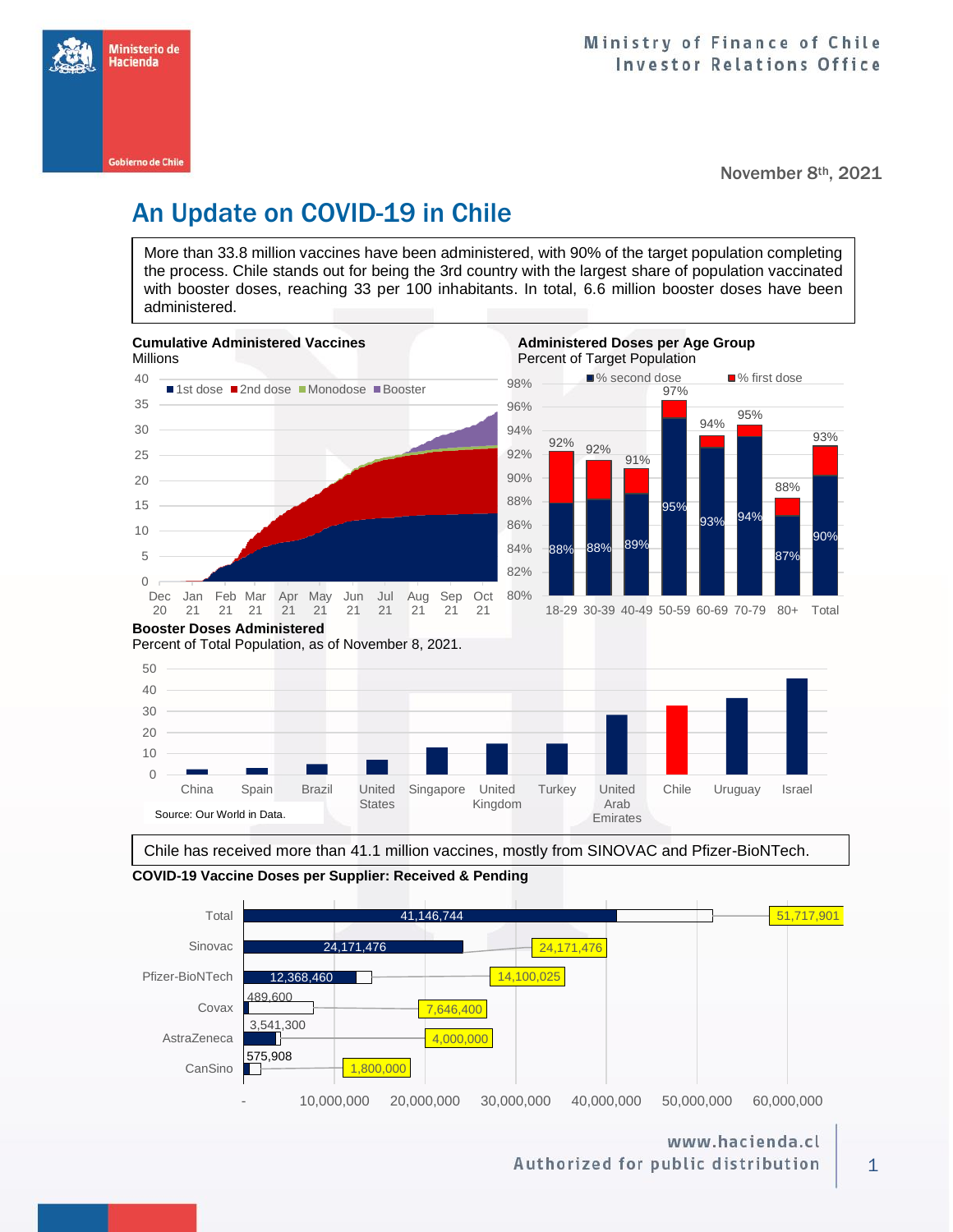

November 8th, 2021

# An Update on COVID-19 in Chile

More than 33.8 million vaccines have been administered, with 90% of the target population completing the process. Chile stands out for being the 3rd country with the largest share of population vaccinated with booster doses, reaching 33 per 100 inhabitants. In total, 6.6 million booster doses have been administered.



**COVID-19 Vaccine Doses per Supplier: Received & Pending** Chile has received more than 41.1 million vaccines, mostly from SINOVAC and Pfizer-BioNTech.



www.hacienda.cl Authorized for public distribution

1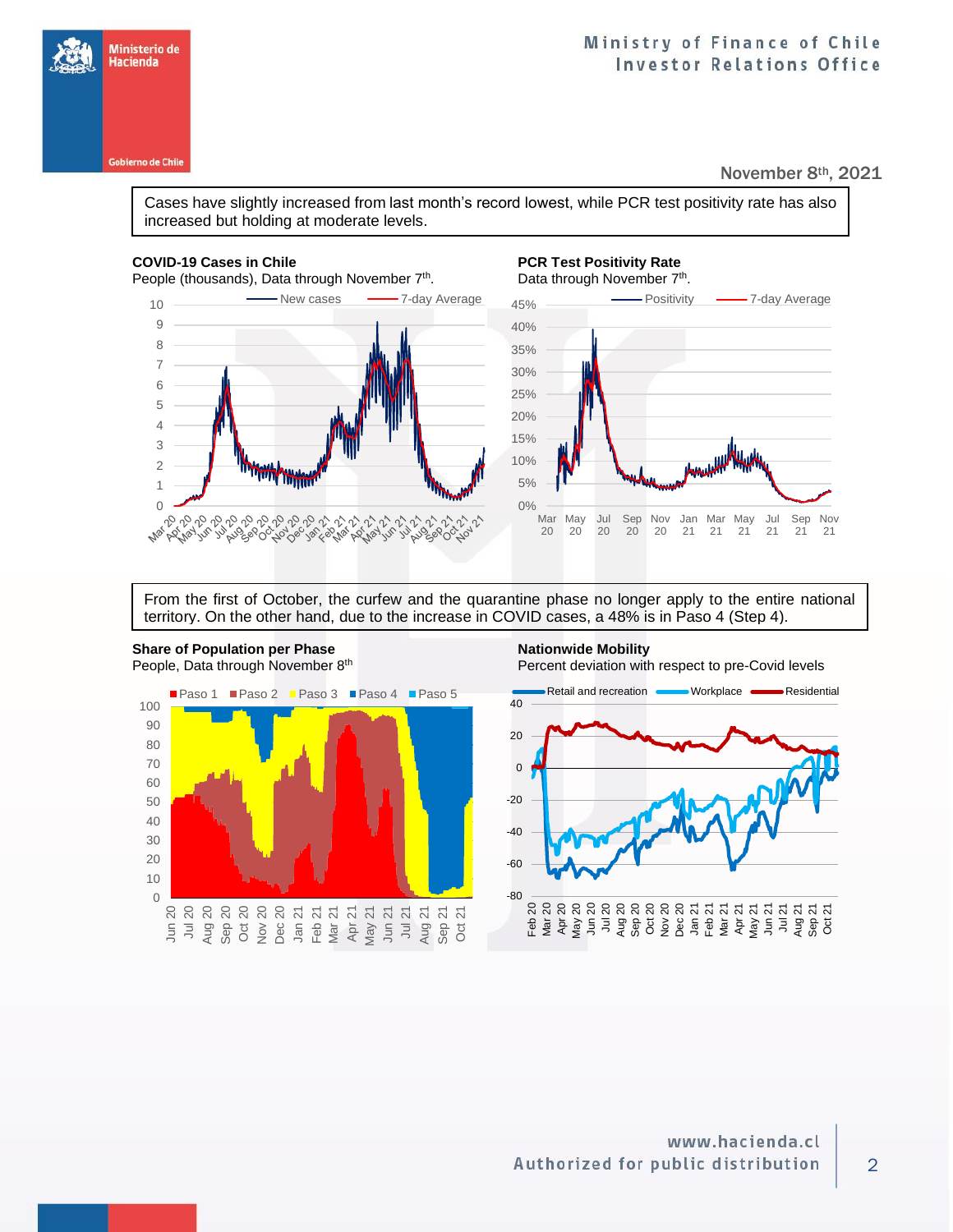Ministerio de Hacienda

### November 8th, 2021

Cases have slightly increased from last month's record lowest, while PCR test positivity rate has also increased but holding at moderate levels.

### **COVID-19 Cases in Chile PCR Test Positivity Rate**

People (thousands), Data through November 7<sup>th</sup>





From the first of October, the curfew and the quarantine phase no longer apply to the entire national territory. On the other hand, due to the increase in COVID cases, a 48% is in Paso 4 (Step 4).

**Share of Population per Phase Nationwide Mobility Nationwide Mobility** People, Data through November 8<sup>th</sup>



Percent deviation with respect to pre-Covid levels